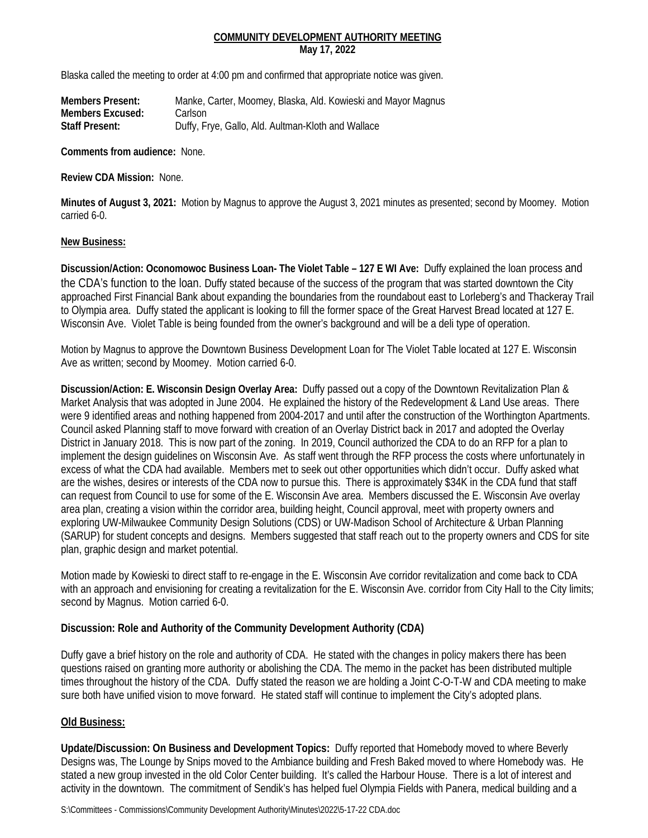## **COMMUNITY DEVELOPMENT AUTHORITY MEETING May 17, 2022**

Blaska called the meeting to order at 4:00 pm and confirmed that appropriate notice was given.

**Members Present:** Manke, Carter, Moomey, Blaska, Ald. Kowieski and Mayor Magnus **Members Excused:** Carlson **Staff Present:** Duffy, Frye, Gallo, Ald. Aultman-Kloth and Wallace

**Comments from audience:** None.

**Review CDA Mission:** None.

**Minutes of August 3, 2021:** Motion by Magnus to approve the August 3, 2021 minutes as presented; second by Moomey. Motion carried 6-0.

#### **New Business:**

**Discussion/Action: Oconomowoc Business Loan- The Violet Table – 127 E WI Ave:** Duffy explained the loan process and the CDA's function to the loan. Duffy stated because of the success of the program that was started downtown the City approached First Financial Bank about expanding the boundaries from the roundabout east to Lorleberg's and Thackeray Trail to Olympia area. Duffy stated the applicant is looking to fill the former space of the Great Harvest Bread located at 127 E. Wisconsin Ave. Violet Table is being founded from the owner's background and will be a deli type of operation.

Motion by Magnus to approve the Downtown Business Development Loan for The Violet Table located at 127 E. Wisconsin Ave as written; second by Moomey. Motion carried 6-0.

**Discussion/Action: E. Wisconsin Design Overlay Area:** Duffy passed out a copy of the Downtown Revitalization Plan & Market Analysis that was adopted in June 2004. He explained the history of the Redevelopment & Land Use areas. There were 9 identified areas and nothing happened from 2004-2017 and until after the construction of the Worthington Apartments. Council asked Planning staff to move forward with creation of an Overlay District back in 2017 and adopted the Overlay District in January 2018. This is now part of the zoning. In 2019, Council authorized the CDA to do an RFP for a plan to implement the design guidelines on Wisconsin Ave. As staff went through the RFP process the costs where unfortunately in excess of what the CDA had available. Members met to seek out other opportunities which didn't occur. Duffy asked what are the wishes, desires or interests of the CDA now to pursue this. There is approximately \$34K in the CDA fund that staff can request from Council to use for some of the E. Wisconsin Ave area. Members discussed the E. Wisconsin Ave overlay area plan, creating a vision within the corridor area, building height, Council approval, meet with property owners and exploring UW-Milwaukee Community Design Solutions (CDS) or UW-Madison School of Architecture & Urban Planning (SARUP) for student concepts and designs. Members suggested that staff reach out to the property owners and CDS for site plan, graphic design and market potential.

Motion made by Kowieski to direct staff to re-engage in the E. Wisconsin Ave corridor revitalization and come back to CDA with an approach and envisioning for creating a revitalization for the E. Wisconsin Ave. corridor from City Hall to the City limits; second by Magnus. Motion carried 6-0.

## **Discussion: Role and Authority of the Community Development Authority (CDA)**

Duffy gave a brief history on the role and authority of CDA. He stated with the changes in policy makers there has been questions raised on granting more authority or abolishing the CDA. The memo in the packet has been distributed multiple times throughout the history of the CDA. Duffy stated the reason we are holding a Joint C-O-T-W and CDA meeting to make sure both have unified vision to move forward. He stated staff will continue to implement the City's adopted plans.

## **Old Business:**

**Update/Discussion: On Business and Development Topics:** Duffy reported that Homebody moved to where Beverly Designs was, The Lounge by Snips moved to the Ambiance building and Fresh Baked moved to where Homebody was. He stated a new group invested in the old Color Center building. It's called the Harbour House. There is a lot of interest and activity in the downtown. The commitment of Sendik's has helped fuel Olympia Fields with Panera, medical building and a